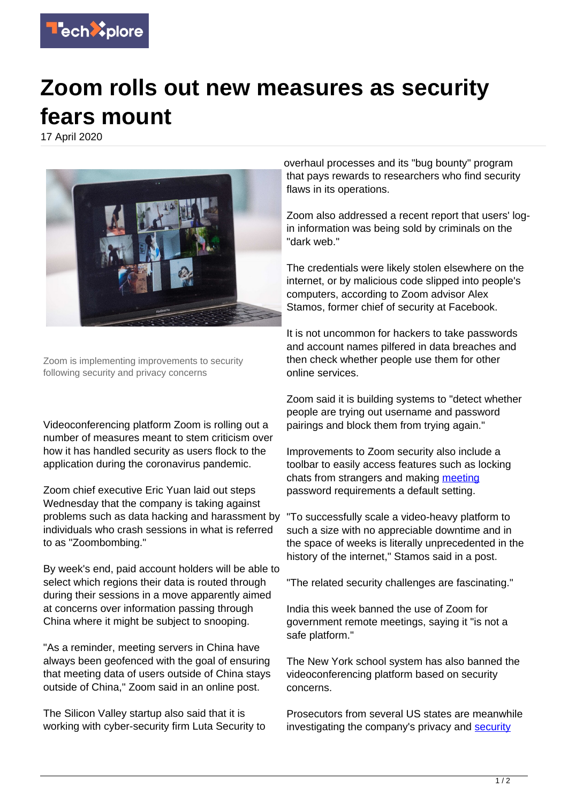

## **Zoom rolls out new measures as security fears mount**

17 April 2020



Zoom is implementing improvements to security following security and privacy concerns

Videoconferencing platform Zoom is rolling out a number of measures meant to stem criticism over how it has handled security as users flock to the application during the coronavirus pandemic.

Zoom chief executive Eric Yuan laid out steps Wednesday that the company is taking against problems such as data hacking and harassment by individuals who crash sessions in what is referred to as "Zoombombing."

By week's end, paid account holders will be able to select which regions their data is routed through during their sessions in a move apparently aimed at concerns over information passing through China where it might be subject to snooping.

"As a reminder, meeting servers in China have always been geofenced with the goal of ensuring that meeting data of users outside of China stays outside of China," Zoom said in an online post.

The Silicon Valley startup also said that it is working with cyber-security firm Luta Security to overhaul processes and its "bug bounty" program that pays rewards to researchers who find security flaws in its operations.

Zoom also addressed a recent report that users' login information was being sold by criminals on the "dark web."

The credentials were likely stolen elsewhere on the internet, or by malicious code slipped into people's computers, according to Zoom advisor Alex Stamos, former chief of security at Facebook.

It is not uncommon for hackers to take passwords and account names pilfered in data breaches and then check whether people use them for other online services.

Zoom said it is building systems to "detect whether people are trying out username and password pairings and block them from trying again."

Improvements to Zoom security also include a toolbar to easily access features such as locking chats from strangers and making [meeting](https://techxplore.com/tags/meeting/) password requirements a default setting.

"To successfully scale a video-heavy platform to such a size with no appreciable downtime and in the space of weeks is literally unprecedented in the history of the internet," Stamos said in a post.

"The related security challenges are fascinating."

India this week banned the use of Zoom for government remote meetings, saying it "is not a safe platform."

The New York school system has also banned the videoconferencing platform based on security concerns.

Prosecutors from several US states are meanwhile investigating the company's privacy and [security](https://techxplore.com/tags/security/)